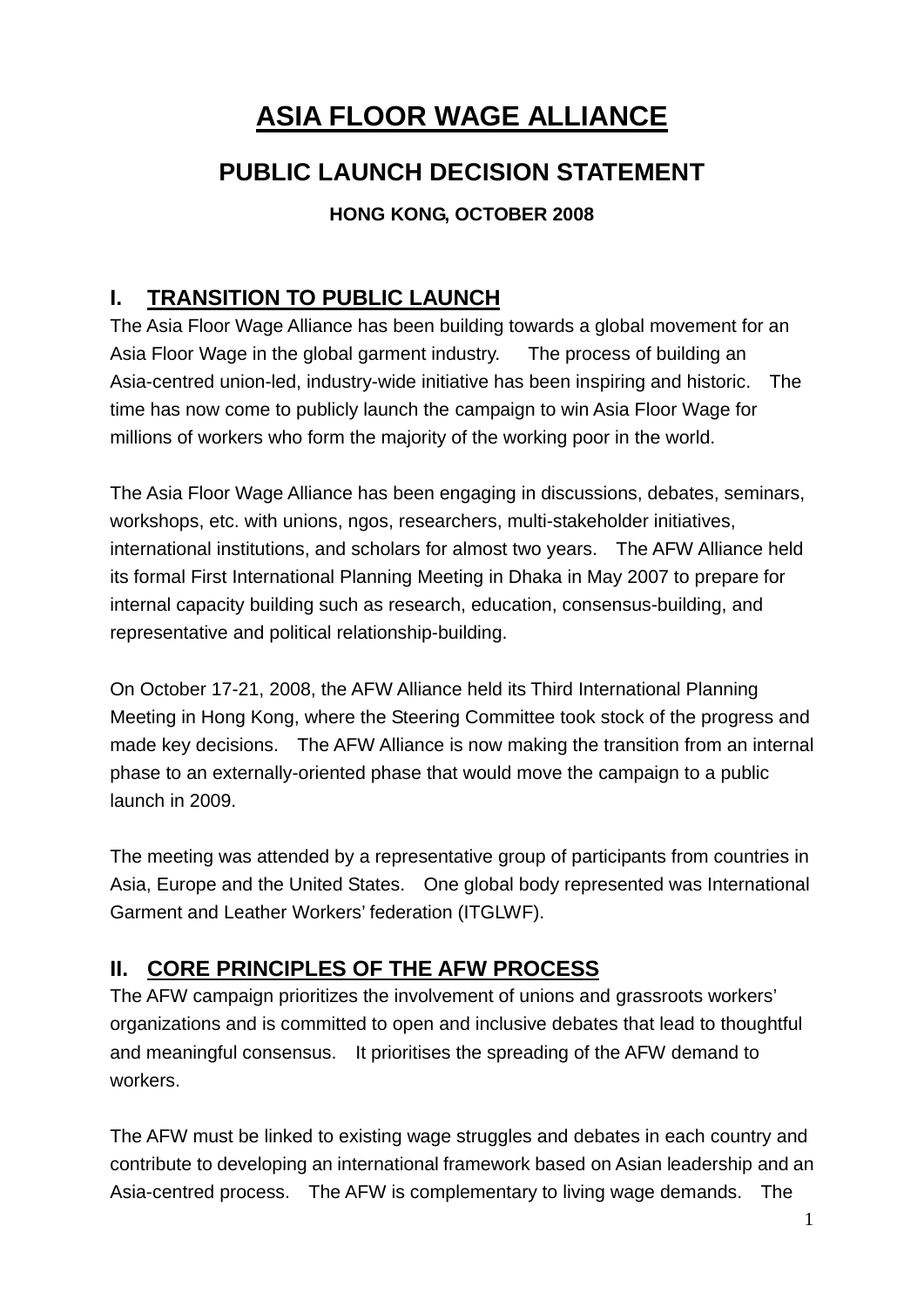# **ASIA FLOOR WAGE ALLIANCE**

## **PUBLIC LAUNCH DECISION STATEMENT**

#### **HONG KONG, OCTOBER 2008**

#### **I. TRANSITION TO PUBLIC LAUNCH**

The Asia Floor Wage Alliance has been building towards a global movement for an Asia Floor Wage in the global garment industry. The process of building an Asia-centred union-led, industry-wide initiative has been inspiring and historic. The time has now come to publicly launch the campaign to win Asia Floor Wage for millions of workers who form the majority of the working poor in the world.

The Asia Floor Wage Alliance has been engaging in discussions, debates, seminars, workshops, etc. with unions, ngos, researchers, multi-stakeholder initiatives, international institutions, and scholars for almost two years. The AFW Alliance held its formal First International Planning Meeting in Dhaka in May 2007 to prepare for internal capacity building such as research, education, consensus-building, and representative and political relationship-building.

On October 17-21, 2008, the AFW Alliance held its Third International Planning Meeting in Hong Kong, where the Steering Committee took stock of the progress and made key decisions. The AFW Alliance is now making the transition from an internal phase to an externally-oriented phase that would move the campaign to a public launch in 2009.

The meeting was attended by a representative group of participants from countries in Asia, Europe and the United States. One global body represented was International Garment and Leather Workers' federation (ITGLWF).

#### **II. CORE PRINCIPLES OF THE AFW PROCESS**

The AFW campaign prioritizes the involvement of unions and grassroots workers' organizations and is committed to open and inclusive debates that lead to thoughtful and meaningful consensus. It prioritises the spreading of the AFW demand to workers.

The AFW must be linked to existing wage struggles and debates in each country and contribute to developing an international framework based on Asian leadership and an Asia-centred process. The AFW is complementary to living wage demands. The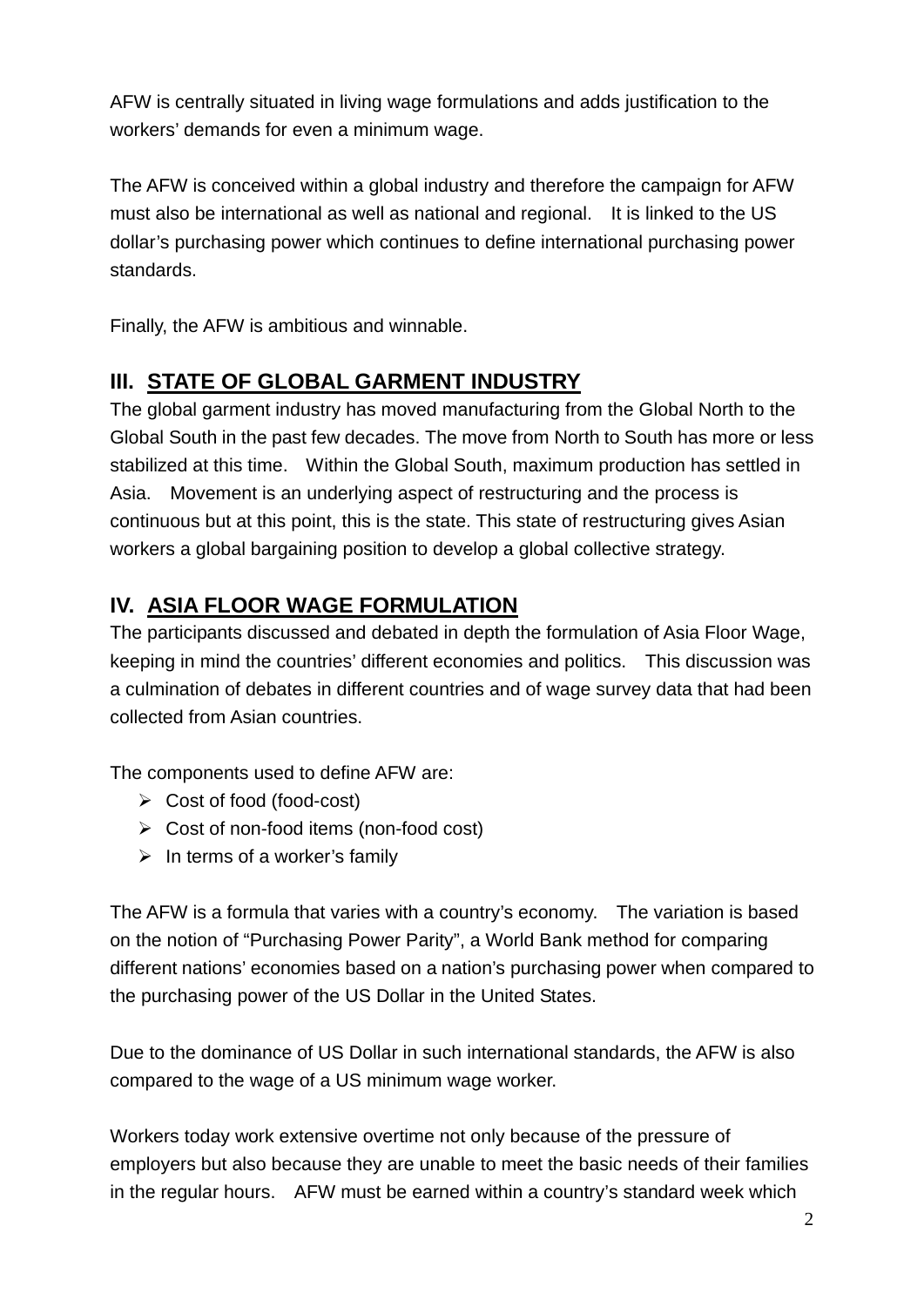AFW is centrally situated in living wage formulations and adds justification to the workers' demands for even a minimum wage.

The AFW is conceived within a global industry and therefore the campaign for AFW must also be international as well as national and regional. It is linked to the US dollar's purchasing power which continues to define international purchasing power standards.

Finally, the AFW is ambitious and winnable.

#### **III. STATE OF GLOBAL GARMENT INDUSTRY**

The global garment industry has moved manufacturing from the Global North to the Global South in the past few decades. The move from North to South has more or less stabilized at this time. Within the Global South, maximum production has settled in Asia. Movement is an underlying aspect of restructuring and the process is continuous but at this point, this is the state. This state of restructuring gives Asian workers a global bargaining position to develop a global collective strategy.

#### **IV. ASIA FLOOR WAGE FORMULATION**

The participants discussed and debated in depth the formulation of Asia Floor Wage, keeping in mind the countries' different economies and politics. This discussion was a culmination of debates in different countries and of wage survey data that had been collected from Asian countries.

The components used to define AFW are:

- $\triangleright$  Cost of food (food-cost)
- $\triangleright$  Cost of non-food items (non-food cost)
- $\triangleright$  In terms of a worker's family

The AFW is a formula that varies with a country's economy. The variation is based on the notion of "Purchasing Power Parity", a World Bank method for comparing different nations' economies based on a nation's purchasing power when compared to the purchasing power of the US Dollar in the United States.

Due to the dominance of US Dollar in such international standards, the AFW is also compared to the wage of a US minimum wage worker.

Workers today work extensive overtime not only because of the pressure of employers but also because they are unable to meet the basic needs of their families in the regular hours. AFW must be earned within a country's standard week which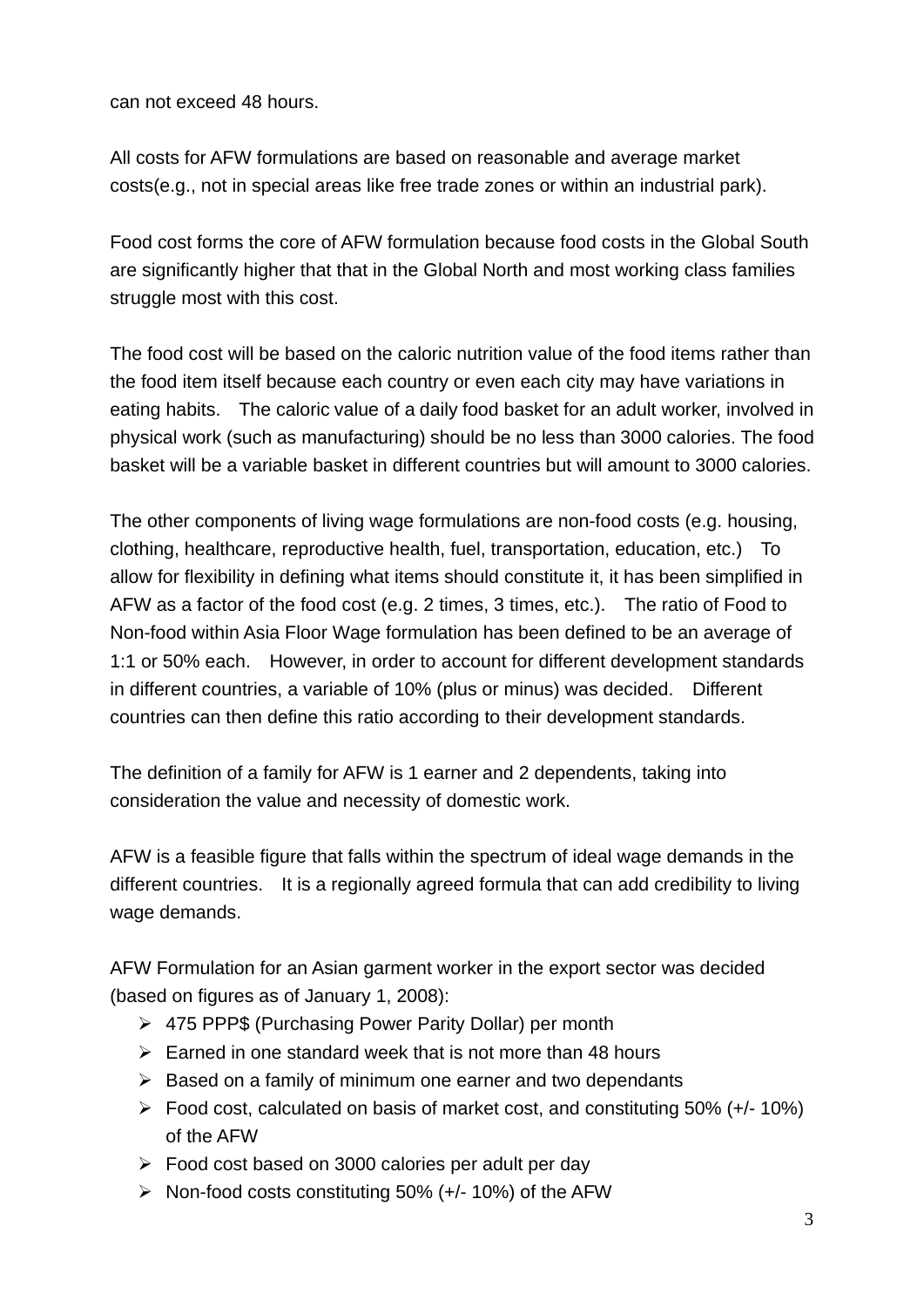can not exceed 48 hours.

All costs for AFW formulations are based on reasonable and average market costs(e.g., not in special areas like free trade zones or within an industrial park).

Food cost forms the core of AFW formulation because food costs in the Global South are significantly higher that that in the Global North and most working class families struggle most with this cost.

The food cost will be based on the caloric nutrition value of the food items rather than the food item itself because each country or even each city may have variations in eating habits. The caloric value of a daily food basket for an adult worker, involved in physical work (such as manufacturing) should be no less than 3000 calories. The food basket will be a variable basket in different countries but will amount to 3000 calories.

The other components of living wage formulations are non-food costs (e.g. housing, clothing, healthcare, reproductive health, fuel, transportation, education, etc.) To allow for flexibility in defining what items should constitute it, it has been simplified in AFW as a factor of the food cost (e.g. 2 times, 3 times, etc.). The ratio of Food to Non-food within Asia Floor Wage formulation has been defined to be an average of 1:1 or 50% each. However, in order to account for different development standards in different countries, a variable of 10% (plus or minus) was decided. Different countries can then define this ratio according to their development standards.

The definition of a family for AFW is 1 earner and 2 dependents, taking into consideration the value and necessity of domestic work.

AFW is a feasible figure that falls within the spectrum of ideal wage demands in the different countries. It is a regionally agreed formula that can add credibility to living wage demands.

AFW Formulation for an Asian garment worker in the export sector was decided (based on figures as of January 1, 2008):

- 475 PPP\$ (Purchasing Power Parity Dollar) per month
- $\triangleright$  Earned in one standard week that is not more than 48 hours
- $\triangleright$  Based on a family of minimum one earner and two dependants
- $\triangleright$  Food cost, calculated on basis of market cost, and constituting 50% (+/-10%) of the AFW
- $\triangleright$  Food cost based on 3000 calories per adult per day
- $\triangleright$  Non-food costs constituting 50% (+/- 10%) of the AFW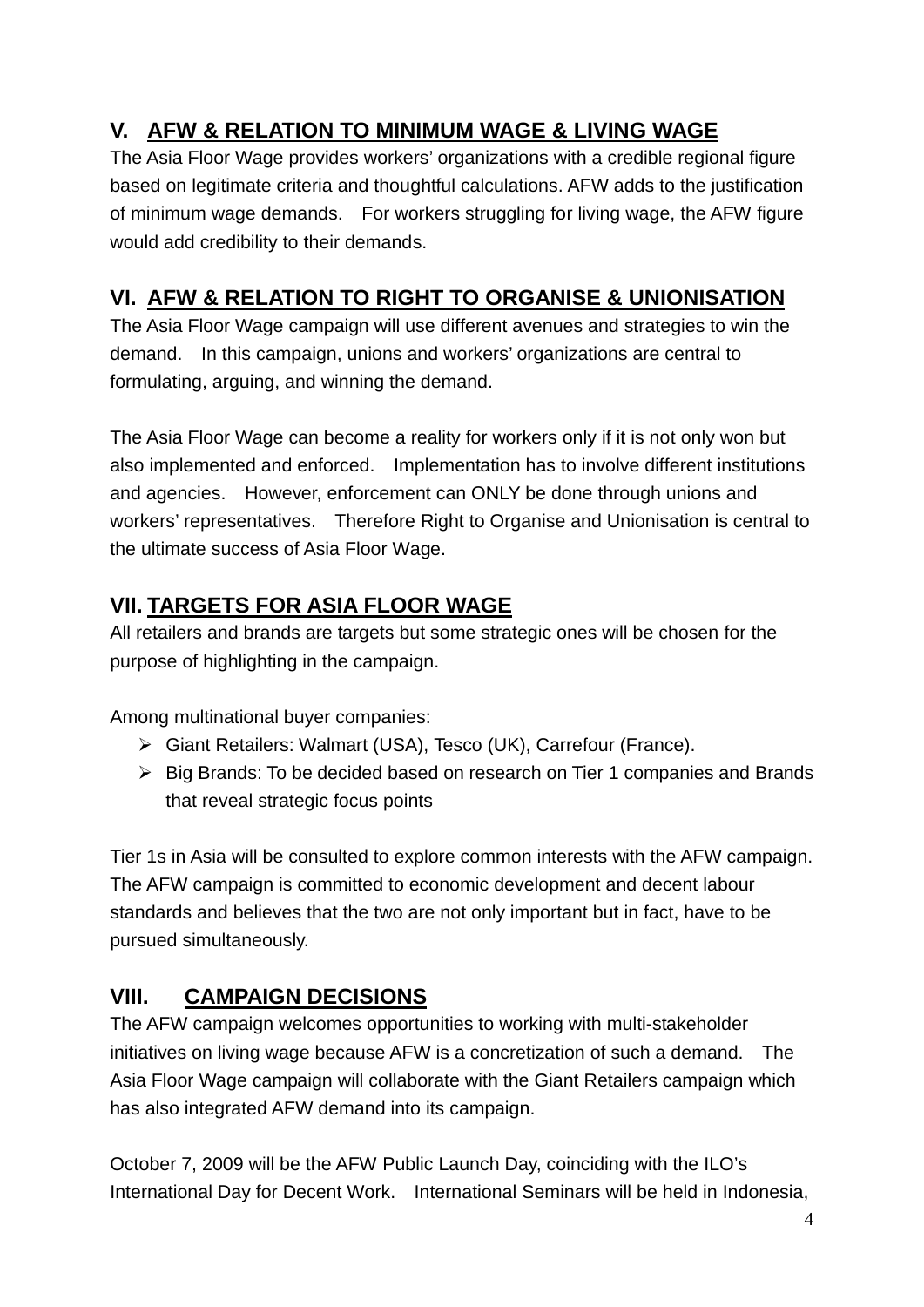### **V. AFW & RELATION TO MINIMUM WAGE & LIVING WAGE**

The Asia Floor Wage provides workers' organizations with a credible regional figure based on legitimate criteria and thoughtful calculations. AFW adds to the justification of minimum wage demands. For workers struggling for living wage, the AFW figure would add credibility to their demands.

#### **VI. AFW & RELATION TO RIGHT TO ORGANISE & UNIONISATION**

The Asia Floor Wage campaign will use different avenues and strategies to win the demand. In this campaign, unions and workers' organizations are central to formulating, arguing, and winning the demand.

The Asia Floor Wage can become a reality for workers only if it is not only won but also implemented and enforced. Implementation has to involve different institutions and agencies. However, enforcement can ONLY be done through unions and workers' representatives. Therefore Right to Organise and Unionisation is central to the ultimate success of Asia Floor Wage.

#### **VII. TARGETS FOR ASIA FLOOR WAGE**

All retailers and brands are targets but some strategic ones will be chosen for the purpose of highlighting in the campaign.

Among multinational buyer companies:

- Giant Retailers: Walmart (USA), Tesco (UK), Carrefour (France).
- $\triangleright$  Big Brands: To be decided based on research on Tier 1 companies and Brands that reveal strategic focus points

Tier 1s in Asia will be consulted to explore common interests with the AFW campaign. The AFW campaign is committed to economic development and decent labour standards and believes that the two are not only important but in fact, have to be pursued simultaneously.

#### **VIII. CAMPAIGN DECISIONS**

The AFW campaign welcomes opportunities to working with multi-stakeholder initiatives on living wage because AFW is a concretization of such a demand. The Asia Floor Wage campaign will collaborate with the Giant Retailers campaign which has also integrated AFW demand into its campaign.

October 7, 2009 will be the AFW Public Launch Day, coinciding with the ILO's International Day for Decent Work. International Seminars will be held in Indonesia,